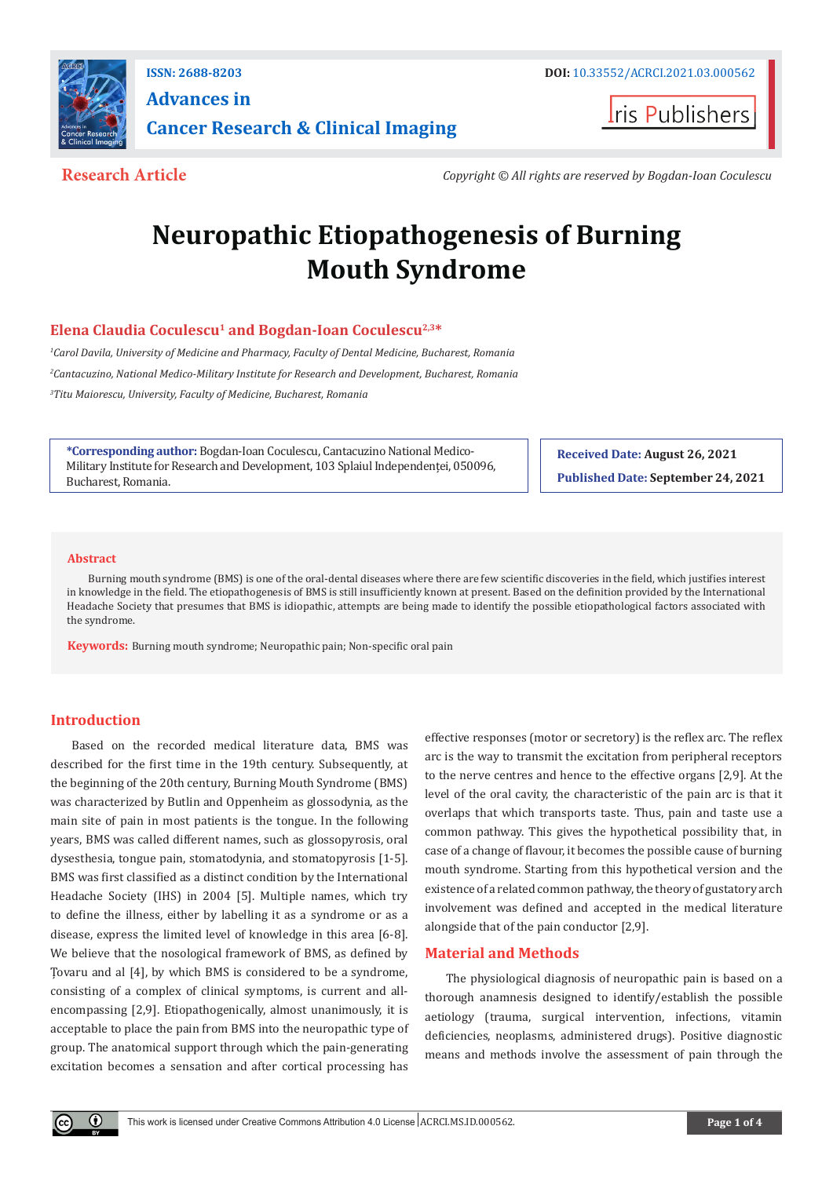

**ISSN: 2688-8203 DOI:** [10.33552/ACRCI.2021.03.00056](http://dx.doi.org/10.33552/ACRCI.2021.03.000562)2 **Advances in Cancer Research & Clinical Imaging** 

**Iris Publishers** 

**Research Article** *Copyright © All rights are reserved by Bogdan-Ioan Coculescu*

# **Neuropathic Etiopathogenesis of Burning Mouth Syndrome**

# Elena Claudia Coculescu<sup>1</sup> and Bogdan-Ioan Coculescu<sup>2,3\*</sup>

*1 Carol Davila, University of Medicine and Pharmacy, Faculty of Dental Medicine, Bucharest, Romania 2 Cantacuzino, National Medico-Military Institute for Research and Development, Bucharest, Romania 3 Titu Maiorescu, University, Faculty of Medicine, Bucharest, Romania*

**\*Corresponding author:** Bogdan-Ioan Coculescu, Cantacuzino National Medico-Military Institute for Research and Development, 103 Splaiul Independenței, 050096, Bucharest, Romania.

**Received Date: August 26, 2021 Published Date: September 24, 2021**

#### **Abstract**

Burning mouth syndrome (BMS) is one of the oral-dental diseases where there are few scientific discoveries in the field, which justifies interest in knowledge in the field. The etiopathogenesis of BMS is still insufficiently known at present. Based on the definition provided by the International Headache Society that presumes that BMS is idiopathic, attempts are being made to identify the possible etiopathological factors associated with the syndrome.

**Keywords:** Burning mouth syndrome; Neuropathic pain; Non-specific oral pain

#### **Introduction**

Based on the recorded medical literature data, BMS was described for the first time in the 19th century. Subsequently, at the beginning of the 20th century, Burning Mouth Syndrome (BMS) was characterized by Butlin and Oppenheim as glossodynia, as the main site of pain in most patients is the tongue. In the following years, BMS was called different names, such as glossopyrosis, oral dysesthesia, tongue pain, stomatodynia, and stomatopyrosis [1-5]. BMS was first classified as a distinct condition by the International Headache Society (IHS) in 2004 [5]. Multiple names, which try to define the illness, either by labelling it as a syndrome or as a disease, express the limited level of knowledge in this area [6-8]. We believe that the nosological framework of BMS, as defined by Țovaru and al [4], by which BMS is considered to be a syndrome, consisting of a complex of clinical symptoms, is current and allencompassing [2,9]. Etiopathogenically, almost unanimously, it is acceptable to place the pain from BMS into the neuropathic type of group. The anatomical support through which the pain-generating excitation becomes a sensation and after cortical processing has

effective responses (motor or secretory) is the reflex arc. The reflex arc is the way to transmit the excitation from peripheral receptors to the nerve centres and hence to the effective organs [2,9]. At the level of the oral cavity, the characteristic of the pain arc is that it overlaps that which transports taste. Thus, pain and taste use a common pathway. This gives the hypothetical possibility that, in case of a change of flavour, it becomes the possible cause of burning mouth syndrome. Starting from this hypothetical version and the existence of a related common pathway, the theory of gustatory arch involvement was defined and accepted in the medical literature alongside that of the pain conductor [2,9].

## **Material and Methods**

The physiological diagnosis of neuropathic pain is based on a thorough anamnesis designed to identify/establish the possible aetiology (trauma, surgical intervention, infections, vitamin deficiencies, neoplasms, administered drugs). Positive diagnostic means and methods involve the assessment of pain through the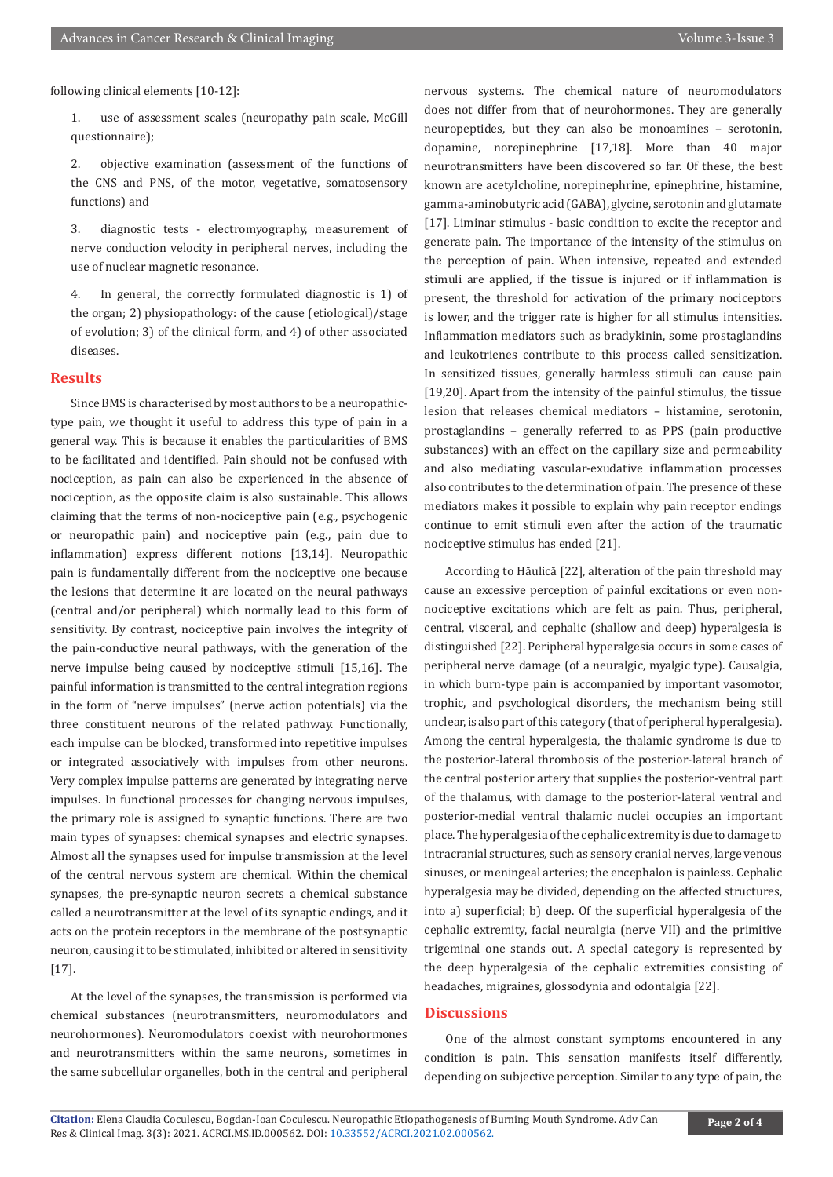following clinical elements [10-12]:

1. use of assessment scales (neuropathy pain scale, McGill questionnaire);

2. objective examination (assessment of the functions of the CNS and PNS, of the motor, vegetative, somatosensory functions) and

3. diagnostic tests - electromyography, measurement of nerve conduction velocity in peripheral nerves, including the use of nuclear magnetic resonance.

4. In general, the correctly formulated diagnostic is 1) of the organ; 2) physiopathology: of the cause (etiological)/stage of evolution; 3) of the clinical form, and 4) of other associated diseases.

#### **Results**

Since BMS is characterised by most authors to be a neuropathictype pain, we thought it useful to address this type of pain in a general way. This is because it enables the particularities of BMS to be facilitated and identified. Pain should not be confused with nociception, as pain can also be experienced in the absence of nociception, as the opposite claim is also sustainable. This allows claiming that the terms of non-nociceptive pain (e.g., psychogenic or neuropathic pain) and nociceptive pain (e.g., pain due to inflammation) express different notions [13,14]. Neuropathic pain is fundamentally different from the nociceptive one because the lesions that determine it are located on the neural pathways (central and/or peripheral) which normally lead to this form of sensitivity. By contrast, nociceptive pain involves the integrity of the pain-conductive neural pathways, with the generation of the nerve impulse being caused by nociceptive stimuli [15,16]. The painful information is transmitted to the central integration regions in the form of "nerve impulses" (nerve action potentials) via the three constituent neurons of the related pathway. Functionally, each impulse can be blocked, transformed into repetitive impulses or integrated associatively with impulses from other neurons. Very complex impulse patterns are generated by integrating nerve impulses. In functional processes for changing nervous impulses, the primary role is assigned to synaptic functions. There are two main types of synapses: chemical synapses and electric synapses. Almost all the synapses used for impulse transmission at the level of the central nervous system are chemical. Within the chemical synapses, the pre-synaptic neuron secrets a chemical substance called a neurotransmitter at the level of its synaptic endings, and it acts on the protein receptors in the membrane of the postsynaptic neuron, causing it to be stimulated, inhibited or altered in sensitivity [17].

At the level of the synapses, the transmission is performed via chemical substances (neurotransmitters, neuromodulators and neurohormones). Neuromodulators coexist with neurohormones and neurotransmitters within the same neurons, sometimes in the same subcellular organelles, both in the central and peripheral nervous systems. The chemical nature of neuromodulators does not differ from that of neurohormones. They are generally neuropeptides, but they can also be monoamines – serotonin, dopamine, norepinephrine [17,18]. More than 40 major neurotransmitters have been discovered so far. Of these, the best known are acetylcholine, norepinephrine, epinephrine, histamine, gamma-aminobutyric acid (GABA), glycine, serotonin and glutamate [17]. Liminar stimulus - basic condition to excite the receptor and generate pain. The importance of the intensity of the stimulus on the perception of pain. When intensive, repeated and extended stimuli are applied, if the tissue is injured or if inflammation is present, the threshold for activation of the primary nociceptors is lower, and the trigger rate is higher for all stimulus intensities. Inflammation mediators such as bradykinin, some prostaglandins and leukotrienes contribute to this process called sensitization. In sensitized tissues, generally harmless stimuli can cause pain [19,20]. Apart from the intensity of the painful stimulus, the tissue lesion that releases chemical mediators – histamine, serotonin, prostaglandins – generally referred to as PPS (pain productive substances) with an effect on the capillary size and permeability and also mediating vascular-exudative inflammation processes also contributes to the determination of pain. The presence of these mediators makes it possible to explain why pain receptor endings continue to emit stimuli even after the action of the traumatic nociceptive stimulus has ended [21].

According to Hăulică [22], alteration of the pain threshold may cause an excessive perception of painful excitations or even nonnociceptive excitations which are felt as pain. Thus, peripheral, central, visceral, and cephalic (shallow and deep) hyperalgesia is distinguished [22]. Peripheral hyperalgesia occurs in some cases of peripheral nerve damage (of a neuralgic, myalgic type). Causalgia, in which burn-type pain is accompanied by important vasomotor, trophic, and psychological disorders, the mechanism being still unclear, is also part of this category (that of peripheral hyperalgesia). Among the central hyperalgesia, the thalamic syndrome is due to the posterior-lateral thrombosis of the posterior-lateral branch of the central posterior artery that supplies the posterior-ventral part of the thalamus, with damage to the posterior-lateral ventral and posterior-medial ventral thalamic nuclei occupies an important place. The hyperalgesia of the cephalic extremity is due to damage to intracranial structures, such as sensory cranial nerves, large venous sinuses, or meningeal arteries; the encephalon is painless. Cephalic hyperalgesia may be divided, depending on the affected structures, into a) superficial; b) deep. Of the superficial hyperalgesia of the cephalic extremity, facial neuralgia (nerve VII) and the primitive trigeminal one stands out. A special category is represented by the deep hyperalgesia of the cephalic extremities consisting of headaches, migraines, glossodynia and odontalgia [22].

#### **Discussions**

One of the almost constant symptoms encountered in any condition is pain. This sensation manifests itself differently, depending on subjective perception. Similar to any type of pain, the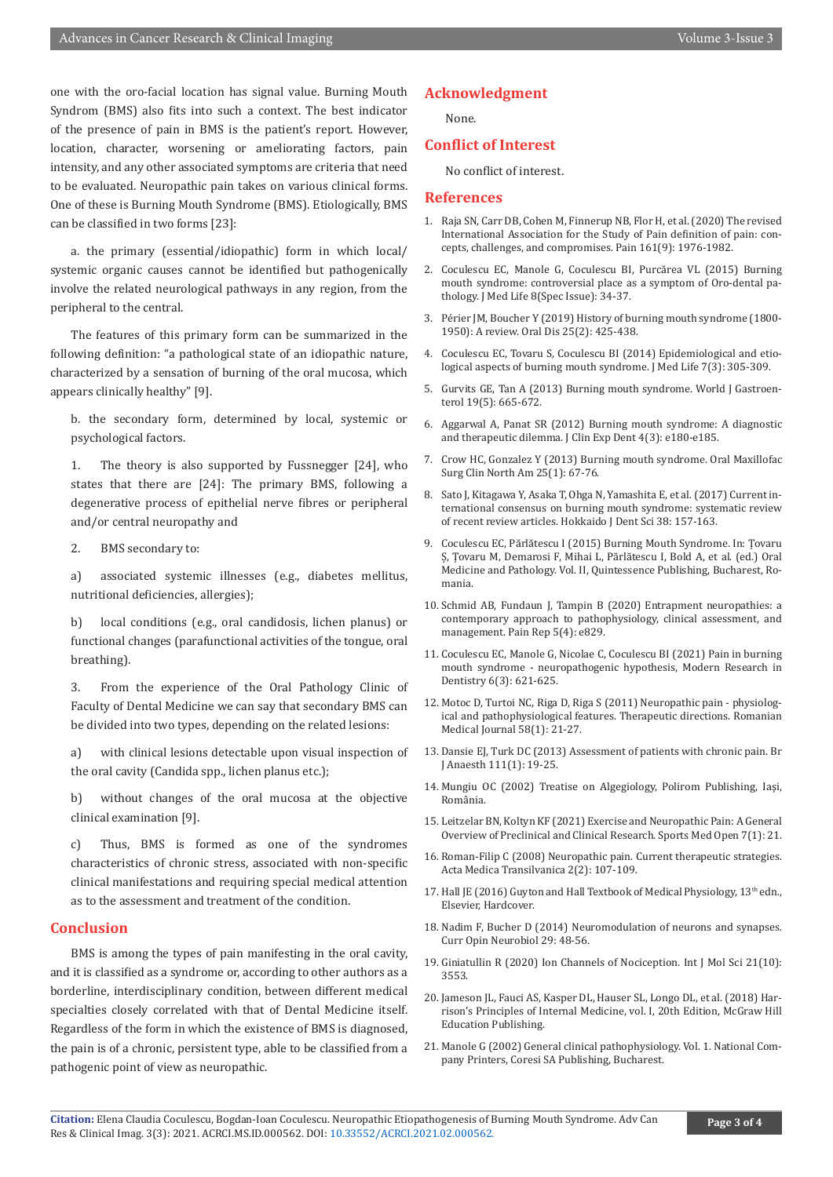one with the oro-facial location has signal value. Burning Mouth Syndrom (BMS) also fits into such a context. The best indicator of the presence of pain in BMS is the patient's report. However, location, character, worsening or ameliorating factors, pain intensity, and any other associated symptoms are criteria that need to be evaluated. Neuropathic pain takes on various clinical forms. One of these is Burning Mouth Syndrome (BMS). Etiologically, BMS can be classified in two forms [23]:

a. the primary (essential/idiopathic) form in which local/ systemic organic causes cannot be identified but pathogenically involve the related neurological pathways in any region, from the peripheral to the central.

The features of this primary form can be summarized in the following definition: "a pathological state of an idiopathic nature, characterized by a sensation of burning of the oral mucosa, which appears clinically healthy" [9].

b. the secondary form, determined by local, systemic or psychological factors.

1. The theory is also supported by Fussnegger [24], who states that there are [24]: The primary BMS, following a degenerative process of epithelial nerve fibres or peripheral and/or central neuropathy and

2. BMS secondary to:

a) associated systemic illnesses (e.g., diabetes mellitus, nutritional deficiencies, allergies);

b) local conditions (e.g., oral candidosis, lichen planus) or functional changes (parafunctional activities of the tongue, oral breathing).

3. From the experience of the Oral Pathology Clinic of Faculty of Dental Medicine we can say that secondary BMS can be divided into two types, depending on the related lesions:

a) with clinical lesions detectable upon visual inspection of the oral cavity (Candida spp., lichen planus etc.);

b) without changes of the oral mucosa at the objective clinical examination [9].

c) Thus, BMS is formed as one of the syndromes characteristics of chronic stress, associated with non-specific clinical manifestations and requiring special medical attention as to the assessment and treatment of the condition.

#### **Conclusion**

BMS is among the types of pain manifesting in the oral cavity, and it is classified as a syndrome or, according to other authors as a borderline, interdisciplinary condition, between different medical specialties closely correlated with that of Dental Medicine itself. Regardless of the form in which the existence of BMS is diagnosed, the pain is of a chronic, persistent type, able to be classified from a pathogenic point of view as neuropathic.

#### **Acknowledgment**

None.

### **Conflict of Interest**

No conflict of interest.

#### **References**

- 1. Raja SN, Carr DB, Cohen M, Finnerup NB, Flor H, et al. (2020) The revised International Association for the Study of Pain definition of pain: concepts, challenges, and compromises. Pain 161(9): 1976-1982.
- 2. Coculescu EC, Manole G, Coculescu BI, Purcărea VL (2015) Burning mouth syndrome: controversial place as a symptom of Oro-dental pathology. J Med Life 8(Spec Issue): 34-37.
- 3. Périer JM, Boucher Y (2019) History of burning mouth syndrome (1800- 1950): A review. Oral Dis 25(2): 425-438.
- 4. Coculescu EC, Tovaru S, Coculescu BI (2014) Epidemiological and etiological aspects of burning mouth syndrome. J Med Life 7(3): 305-309.
- 5. Gurvits GE, Tan A (2013) Burning mouth syndrome. World J Gastroenterol 19(5): 665-672.
- 6. Aggarwal A, Panat SR (2012) Burning mouth syndrome: A diagnostic and therapeutic dilemma. J Clin Exp Dent 4(3): e180-e185.
- 7. Crow HC, Gonzalez Y (2013) Burning mouth syndrome. Oral Maxillofac Surg Clin North Am 25(1): 67-76.
- 8. Sato J, Kitagawa Y, Asaka T, Ohga N, Yamashita E, et al. (2017) Current international consensus on burning mouth syndrome: systematic review of recent review articles. Hokkaido J Dent Sci 38: 157-163.
- 9. Coculescu EC, Părlătescu I (2015) Burning Mouth Syndrome. In: Țovaru Ș, Țovaru M, Demarosi F, Mihai L, Părlătescu I, Bold A, et al. (ed.) Oral Medicine and Pathology. Vol. II, Quintessence Publishing, Bucharest, Romania.
- 10. Schmid AB, Fundaun J, Tampin B (2020) Entrapment neuropathies: a contemporary approach to pathophysiology, clinical assessment, and management. Pain Rep 5(4): e829.
- 11. Coculescu EC, Manole G, Nicolae C, Coculescu BI (2021) Pain in burning mouth syndrome - neuropathogenic hypothesis, Modern Research in Dentistry 6(3): 621-625.
- 12. Motoc D, Turtoi NC, Riga D, Riga S (2011) Neuropathic pain physiological and pathophysiological features. Therapeutic directions. Romanian Medical Journal 58(1): 21-27.
- 13. Dansie EJ, Turk DC (2013) Assessment of patients with chronic pain. Br J Anaesth 111(1): 19-25.
- 14. Mungiu OC (2002) Treatise on Algegiology, Polirom Publishing, Iaşi, România.
- 15. Leitzelar BN, Koltyn KF (2021) Exercise and Neuropathic Pain: A General Overview of Preclinical and Clinical Research. Sports Med Open 7(1): 21.
- 16. Roman-Filip C (2008) Neuropathic pain. Current therapeutic strategies. Acta Medica Transilvanica 2(2): 107-109.
- 17. Hall JE (2016) Guyton and Hall Textbook of Medical Physiology, 13<sup>th</sup> edn., Elsevier, Hardcover.
- 18. Nadim F, Bucher D (2014) Neuromodulation of neurons and synapses. Curr Opin Neurobiol 29: 48-56.
- 19. Giniatullin R (2020) Ion Channels of Nociception. Int J Mol Sci 21(10): 3553.
- 20. Jameson JL, Fauci AS, Kasper DL, Hauser SL, Longo DL, et al. (2018) Harrison's Principles of Internal Medicine, vol. I, 20th Edition, McGraw Hill Education Publishing.
- 21. Manole G (2002) General clinical pathophysiology. Vol. 1. National Company Printers, Coresi SA Publishing, Bucharest.